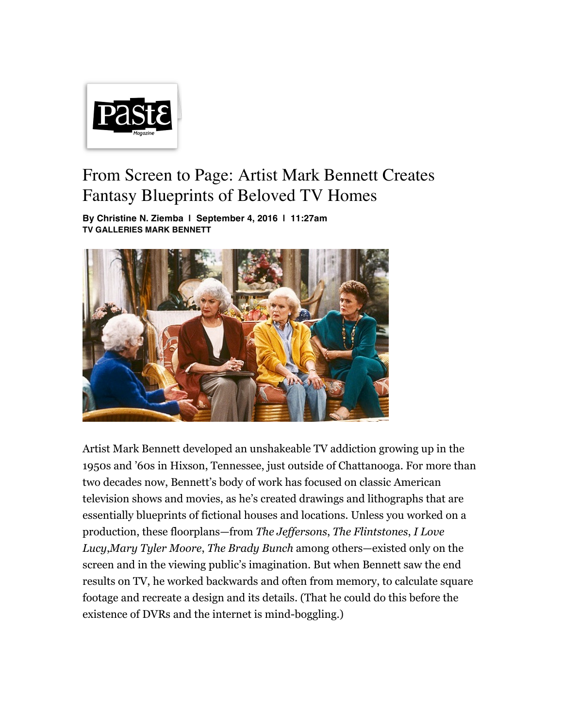

## From Screen to Page: Artist Mark Bennett Creates Fantasy Blueprints of Beloved TV Homes

**By Christine N. Ziemba | September 4, 2016 | 11:27am TV GALLERIES MARK BENNETT**



Artist Mark Bennett developed an unshakeable TV addiction growing up in the 1950s and '60s in Hixson, Tennessee, just outside of Chattanooga. For more than two decades now, Bennett's body of work has focused on classic American television shows and movies, as he's created drawings and lithographs that are essentially blueprints of fictional houses and locations. Unless you worked on a production, these floorplans—from *The Jeffersons*, *The Flintstones*, *I Love Lucy*,*Mary Tyler Moore*, *The Brady Bunch* among others—existed only on the screen and in the viewing public's imagination. But when Bennett saw the end results on TV, he worked backwards and often from memory, to calculate square footage and recreate a design and its details. (That he could do this before the existence of DVRs and the internet is mind-boggling.)